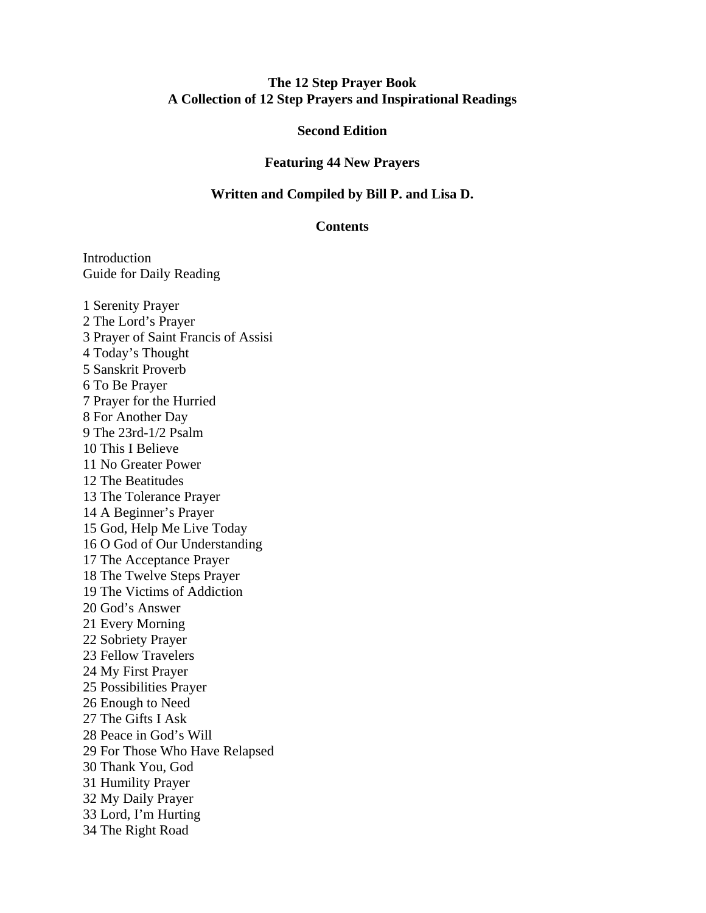## **The 12 Step Prayer Book A Collection of 12 Step Prayers and Inspirational Readings**

## **Second Edition**

#### **Featuring 44 New Prayers**

#### **Written and Compiled by Bill P. and Lisa D.**

#### **Contents**

Introduction Guide for Daily Reading

1 Serenity Prayer 2 The Lord's Prayer 3 Prayer of Saint Francis of Assisi 4 Today's Thought 5 Sanskrit Proverb 6 To Be Prayer 7 Prayer for the Hurried 8 For Another Day 9 The 23rd-1/2 Psalm 10 This I Believe 11 No Greater Power 12 The Beatitudes 13 The Tolerance Prayer 14 A Beginner's Prayer 15 God, Help Me Live Today 16 O God of Our Understanding 17 The Acceptance Prayer 18 The Twelve Steps Prayer 19 The Victims of Addiction 20 God's Answer 21 Every Morning 22 Sobriety Prayer 23 Fellow Travelers 24 My First Prayer 25 Possibilities Prayer 26 Enough to Need 27 The Gifts I Ask 28 Peace in God's Will 29 For Those Who Have Relapsed 30 Thank You, God 31 Humility Prayer 32 My Daily Prayer 33 Lord, I'm Hurting 34 The Right Road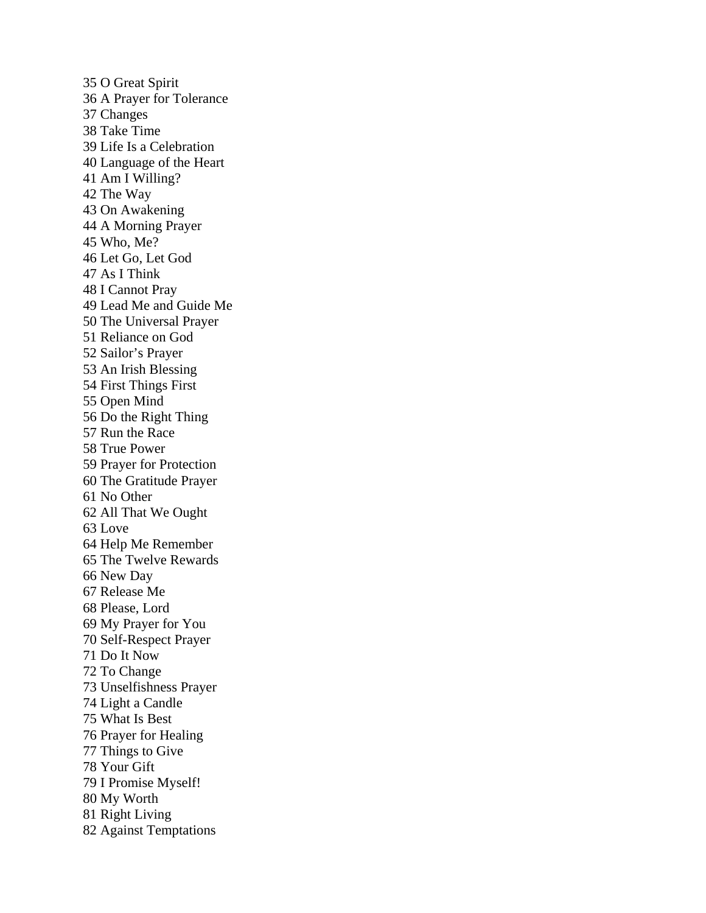35 O Great Spirit 36 A Prayer for Tolerance 37 Changes 38 Take Time 39 Life Is a Celebration 40 Language of the Heart 41 Am I Willing? 42 The Way 43 On Awakening 44 A Morning Prayer 45 Who, Me? 46 Let Go, Let God 47 As I Think 48 I Cannot Pray 49 Lead Me and Guide Me 50 The Universal Prayer 51 Reliance on God 52 Sailor's Prayer 53 An Irish Blessing 54 First Things First 55 Open Mind 56 Do the Right Thing 57 Run the Race 58 True Power 59 Prayer for Protection 60 The Gratitude Prayer 61 No Other 62 All That We Ought 63 Love 64 Help Me Remember 65 The Twelve Rewards 66 New Day 67 Release Me 68 Please, Lord 69 My Prayer for You 70 Self-Respect Prayer 71 Do It Now 72 To Change 73 Unselfishness Prayer 74 Light a Candle 75 What Is Best 76 Prayer for Healing 77 Things to Give 78 Your Gift 79 I Promise Myself! 80 My Worth 81 Right Living 82 Against Temptations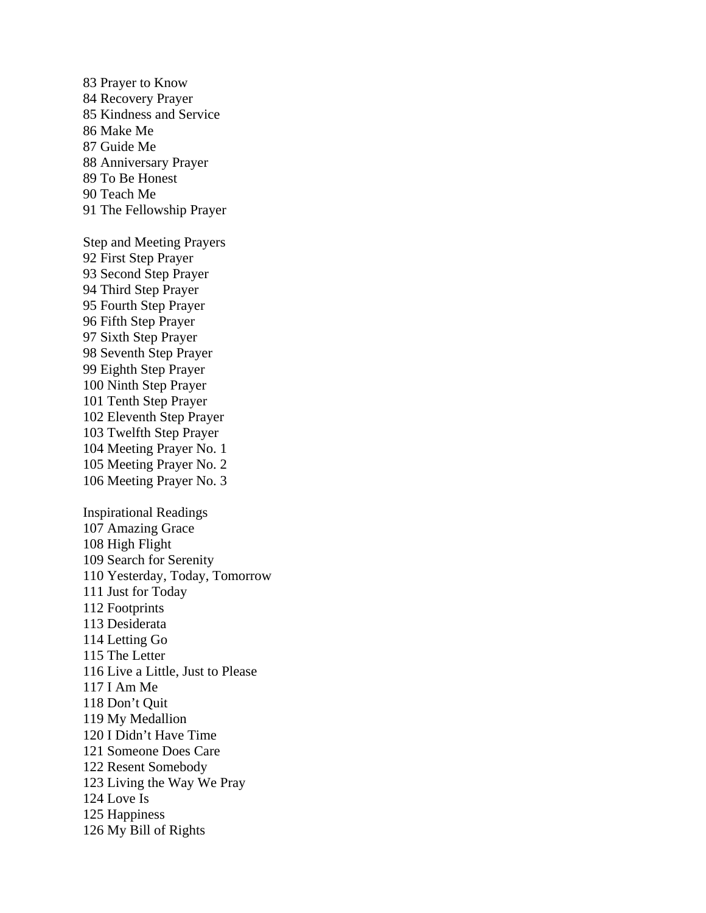83 Prayer to Know 84 Recovery Prayer 85 Kindness and Service 86 Make Me 87 Guide Me 88 Anniversary Prayer 89 To Be Honest 90 Teach Me 91 The Fellowship Prayer Step and Meeting Prayers 92 First Step Prayer 93 Second Step Prayer 94 Third Step Prayer 95 Fourth Step Prayer 96 Fifth Step Prayer 97 Sixth Step Prayer 98 Seventh Step Prayer 99 Eighth Step Prayer 100 Ninth Step Prayer 101 Tenth Step Prayer 102 Eleventh Step Prayer 103 Twelfth Step Prayer 104 Meeting Prayer No. 1 105 Meeting Prayer No. 2 106 Meeting Prayer No. 3 Inspirational Readings 107 Amazing Grace 108 High Flight 109 Search for Serenity 110 Yesterday, Today, Tomorrow 111 Just for Today 112 Footprints 113 Desiderata 114 Letting Go 115 The Letter 116 Live a Little, Just to Please 117 I Am Me 118 Don't Quit 119 My Medallion 120 I Didn't Have Time 121 Someone Does Care 122 Resent Somebody 123 Living the Way We Pray 124 Love Is 125 Happiness 126 My Bill of Rights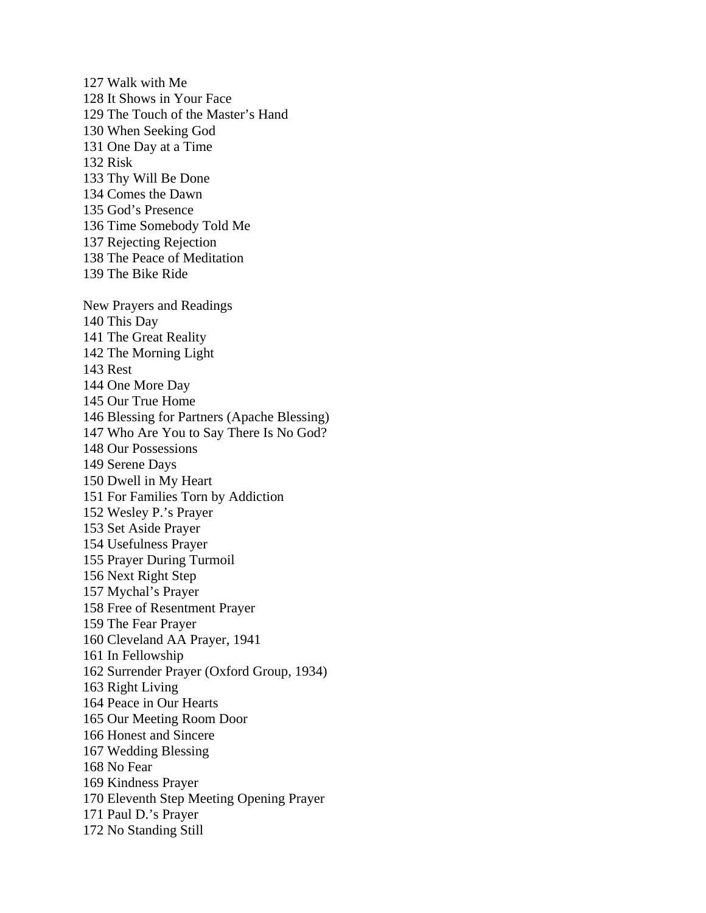127 Walk with Me 128 It Shows in Your Face 129 The Touch of the Master's Hand 130 When Seeking God 131 One Day at a Time 132 Risk 133 Thy Will Be Done 134 Comes the Dawn 135 God's Presence 136 Time Somebody Told Me 137 Rejecting Rejection 138 The Peace of Meditation 139 The Bike Ride New Prayers and Readings 140 This Day 141 The Great Reality 142 The Morning Light 143 Rest 144 One More Day 145 Our True Home 146 Blessing for Partners (Apache Blessing) 147 Who Are You to Say There Is No God? 148 Our Possessions 149 Serene Days 150 Dwell in My Heart 151 For Families Torn by Addiction 152 Wesley P.'s Prayer 153 Set Aside Prayer 154 Usefulness Prayer 155 Prayer During Turmoil 156 Next Right Step 157 Mychal's Prayer 158 Free of Resentment Prayer 159 The Fear Prayer 160 Cleveland AA Prayer, 1941 161 In Fellowship 162 Surrender Prayer (Oxford Group, 1934) 163 Right Living 164 Peace in Our Hearts 165 Our Meeting Room Door 166 Honest and Sincere 167 Wedding Blessing 168 No Fear 169 Kindness Prayer 170 Eleventh Step Meeting Opening Prayer 171 Paul D.'s Prayer 172 No Standing Still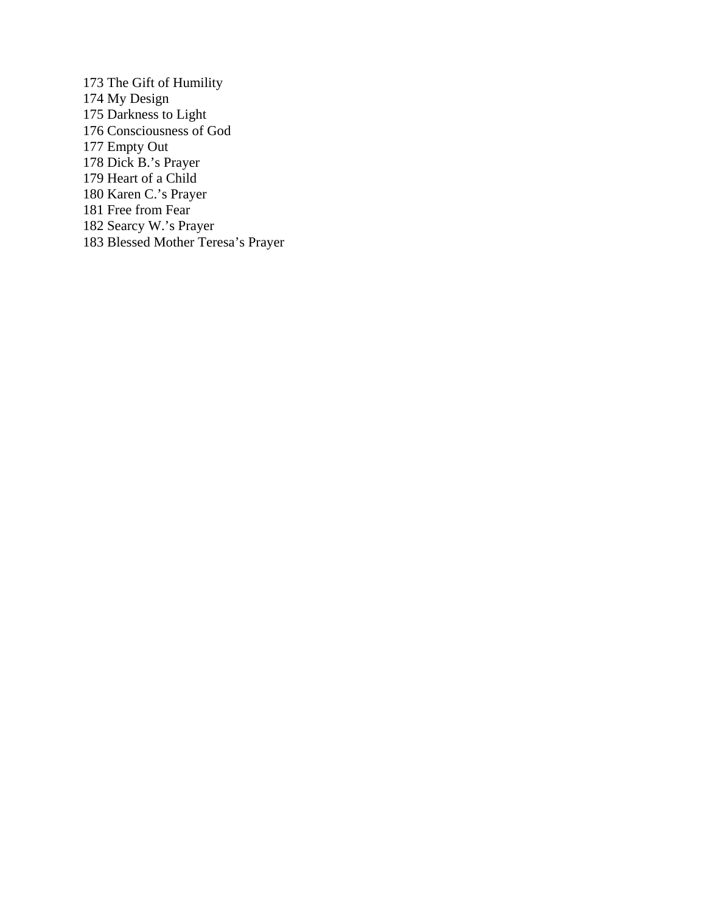173 The Gift of Humility 174 My Design 175 Darkness to Light 176 Consciousness of God 177 Empty Out 178 Dick B.'s Prayer 179 Heart of a Child 180 Karen C.'s Prayer 181 Free from Fear 182 Searcy W.'s Prayer 183 Blessed Mother Teresa's Prayer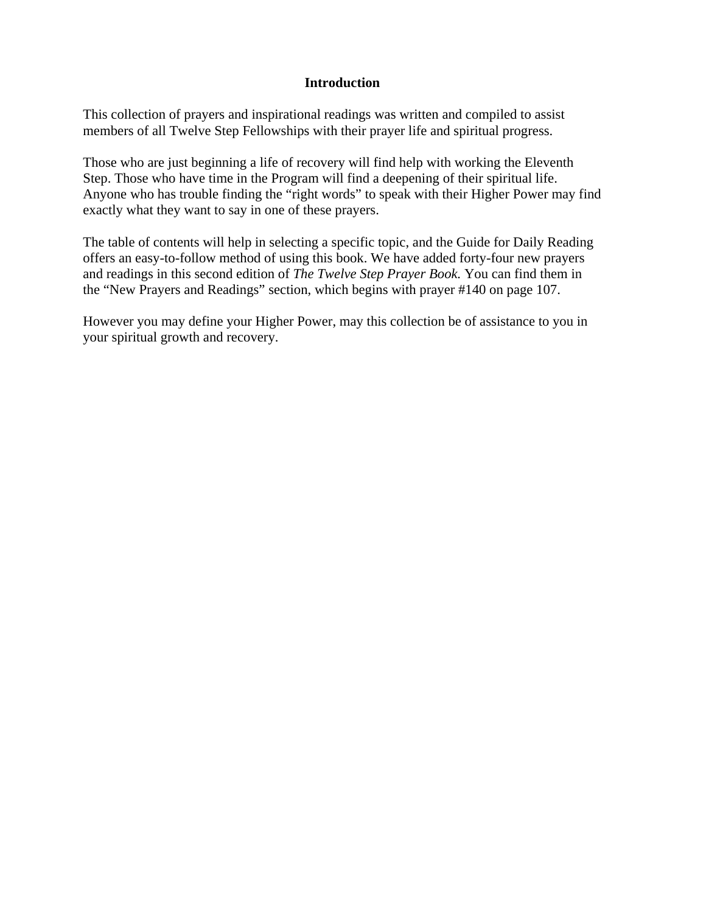# **Introduction**

This collection of prayers and inspirational readings was written and compiled to assist members of all Twelve Step Fellowships with their prayer life and spiritual progress.

Those who are just beginning a life of recovery will find help with working the Eleventh Step. Those who have time in the Program will find a deepening of their spiritual life. Anyone who has trouble finding the "right words" to speak with their Higher Power may find exactly what they want to say in one of these prayers.

The table of contents will help in selecting a specific topic, and the Guide for Daily Reading offers an easy-to-follow method of using this book. We have added forty-four new prayers and readings in this second edition of *The Twelve Step Prayer Book.* You can find them in the "New Prayers and Readings" section, which begins with prayer #140 on page 107.

However you may define your Higher Power, may this collection be of assistance to you in your spiritual growth and recovery.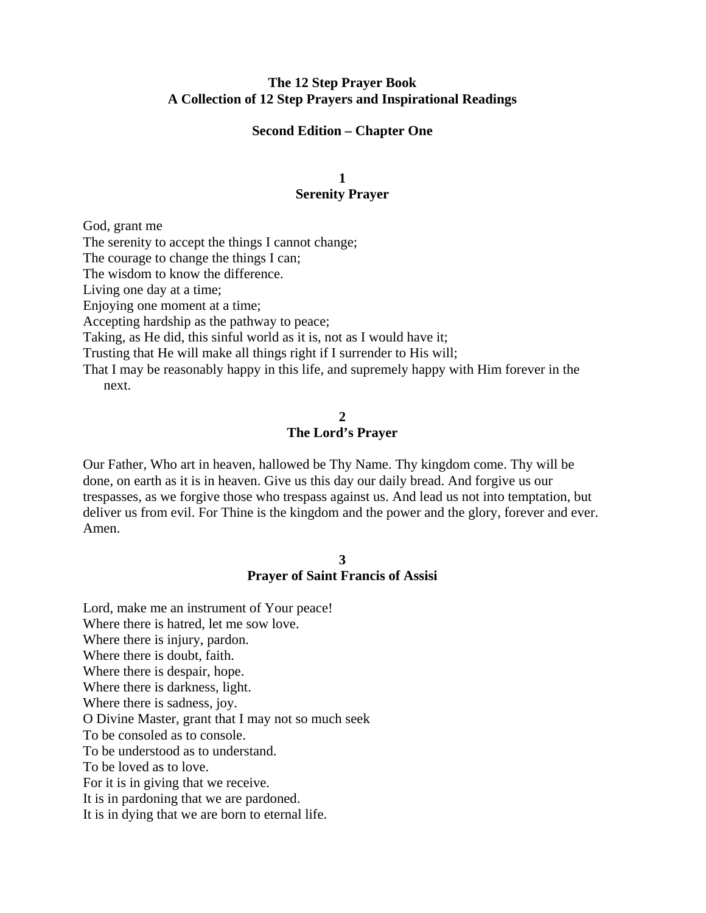## **The 12 Step Prayer Book A Collection of 12 Step Prayers and Inspirational Readings**

#### **Second Edition – Chapter One**

## **1 Serenity Prayer**

God, grant me

The serenity to accept the things I cannot change;

The courage to change the things I can;

The wisdom to know the difference.

Living one day at a time;

Enjoying one moment at a time;

Accepting hardship as the pathway to peace;

Taking, as He did, this sinful world as it is, not as I would have it;

Trusting that He will make all things right if I surrender to His will;

That I may be reasonably happy in this life, and supremely happy with Him forever in the next.

#### **2**

## **The Lord's Prayer**

Our Father, Who art in heaven, hallowed be Thy Name. Thy kingdom come. Thy will be done, on earth as it is in heaven. Give us this day our daily bread. And forgive us our trespasses, as we forgive those who trespass against us. And lead us not into temptation, but deliver us from evil. For Thine is the kingdom and the power and the glory, forever and ever. Amen.

#### **3**

#### **Prayer of Saint Francis of Assisi**

Lord, make me an instrument of Your peace! Where there is hatred, let me sow love. Where there is injury, pardon. Where there is doubt, faith. Where there is despair, hope. Where there is darkness, light. Where there is sadness, joy. O Divine Master, grant that I may not so much seek To be consoled as to console. To be understood as to understand. To be loved as to love. For it is in giving that we receive. It is in pardoning that we are pardoned. It is in dying that we are born to eternal life.